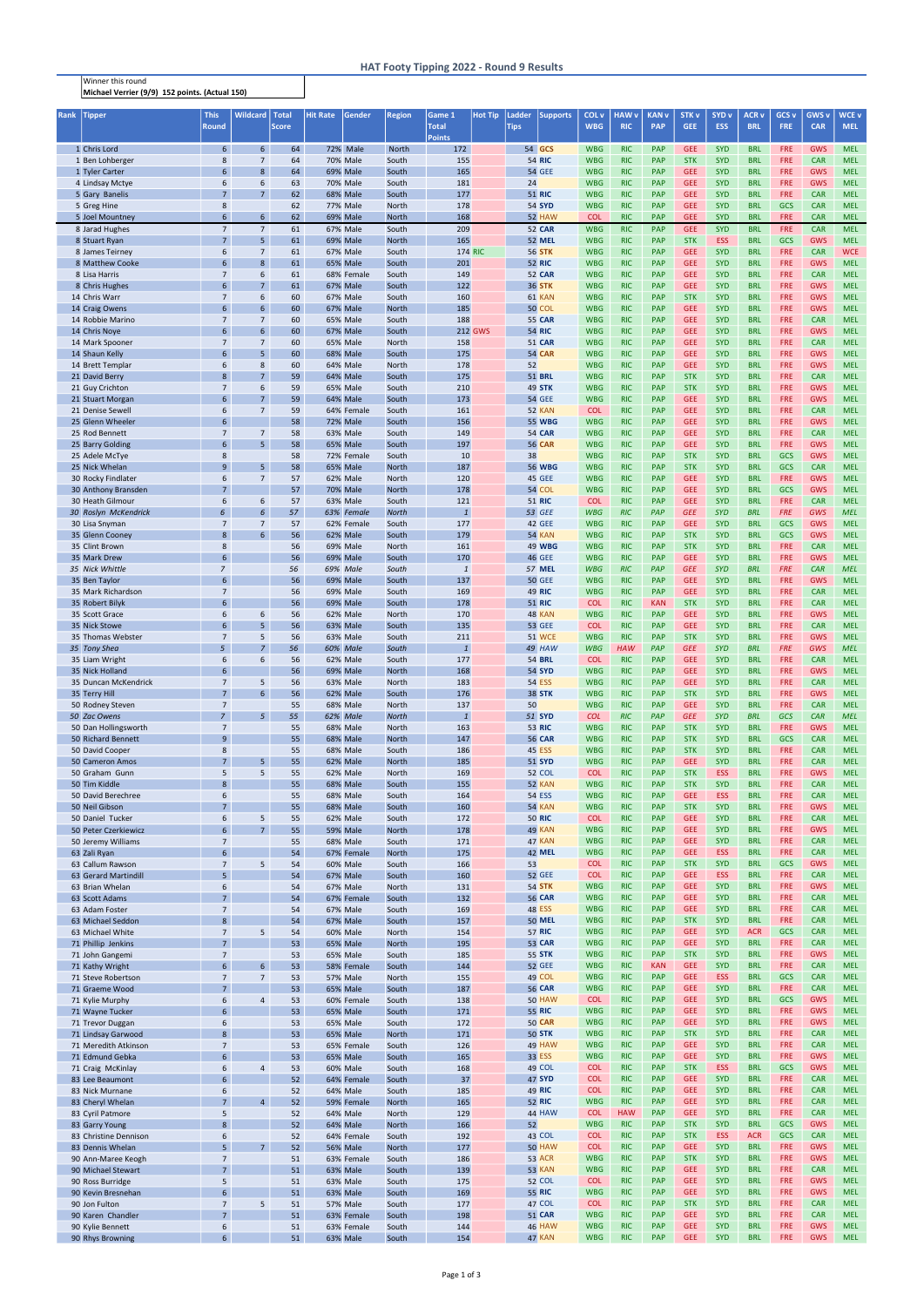Winner this round Michael Verrier (9/9) 152 points. (Actual 150)

| Rank | <b>Tipper</b>                              | <b>This</b><br><b>Round</b>       | <b>Wildcard</b>                   | <b>Total</b><br><b>Score</b> | <b>Hit Rate</b> | Gender                        | <b>Region</b>         | Game 1<br><b>Total</b> | <b>Hot Tip</b> | Ladder<br><b>Tips</b> | <b>Supports</b>                | COL <sub>v</sub><br><b>WBG</b> | <b>HAW v</b><br><b>RIC</b> | <b>KAN v</b><br><b>PAP</b> | <b>STK v</b><br><b>GEE</b> | SYD <sub>v</sub><br><b>ESS</b> | <b>ACR v</b><br><b>BRL</b> | GCS <sub>v</sub><br><b>FRE</b> | GWS <sub>v</sub><br><b>CAR</b> | <b>WCE v</b><br><b>MEL</b> |
|------|--------------------------------------------|-----------------------------------|-----------------------------------|------------------------------|-----------------|-------------------------------|-----------------------|------------------------|----------------|-----------------------|--------------------------------|--------------------------------|----------------------------|----------------------------|----------------------------|--------------------------------|----------------------------|--------------------------------|--------------------------------|----------------------------|
|      | 1 Chris Lord                               | $6^{\circ}$                       | 6 <sup>1</sup>                    | 64                           |                 | 72% Male                      | North                 | <b>Points</b><br>172   |                |                       | 54 GCS                         | <b>WBG</b>                     | <b>RIC</b>                 | <b>PAP</b>                 | <b>GEE</b>                 | <b>SYD</b>                     | <b>BRL</b>                 | <b>FRE</b>                     | <b>GWS</b>                     | <b>MEL</b>                 |
|      | 1 Ben Lohberger                            | 8                                 | $7\overline{ }$                   | 64                           |                 | 70% Male                      | South                 | 155                    |                |                       | <b>54 RIC</b>                  | <b>WBG</b>                     | <b>RIC</b>                 | <b>PAP</b>                 | <b>STK</b>                 | <b>SYD</b>                     | <b>BRL</b>                 | <b>FRE</b>                     | <b>CAR</b>                     | <b>MEL</b>                 |
|      | 1 Tyler Carter                             | 6                                 | 8                                 | 64                           |                 | <b>69% Male</b>               | South                 | 165                    |                |                       | <b>54 GEE</b>                  | <b>WBG</b>                     | <b>RIC</b>                 | <b>PAP</b>                 | <b>GEE</b>                 | <b>SYD</b>                     | <b>BRL</b>                 | <b>FRE</b>                     | <b>GWS</b>                     | <b>MEL</b>                 |
|      | 4 Lindsay Mctye                            | 6<br>$\overline{7}$               | 6<br>7 <sup>7</sup>               | 63<br>62                     |                 | 70% Male                      | South<br>South        | 181<br>177             |                | 24                    | <b>51 RIC</b>                  | <b>WBG</b><br><b>WBG</b>       | <b>RIC</b><br><b>RIC</b>   | PAP<br><b>PAP</b>          | <b>GEE</b><br><b>GEE</b>   | <b>SYD</b><br><b>SYD</b>       | <b>BRL</b><br><b>BRL</b>   | <b>FRE</b><br><b>FRE</b>       | <b>GWS</b><br><b>CAR</b>       | <b>MEL</b><br><b>MEL</b>   |
|      | 5 Gary Banelis<br>5 Greg Hine              | 8                                 |                                   | 62                           |                 | 68% Male<br>77% Male          | North                 | 178                    |                |                       | <b>54 SYD</b>                  | <b>WBG</b>                     | <b>RIC</b>                 | <b>PAP</b>                 | <b>GEE</b>                 | <b>SYD</b>                     | <b>BRL</b>                 | GCS                            | <b>CAR</b>                     | <b>MEL</b>                 |
|      | 5 Joel Mountney                            | 6 <sup>1</sup>                    | 6 <sup>1</sup>                    | 62                           |                 | 69% Male                      | <b>North</b>          | 168                    |                |                       | 52 HAW                         | <b>COL</b>                     | <b>RIC</b>                 | <b>PAP</b>                 | <b>GEE</b>                 | <b>SYD</b>                     | <b>BRL</b>                 | <b>FRE</b>                     | <b>CAR</b>                     | <b>MEL</b>                 |
|      | 8 Jarad Hughes                             | $\overline{7}$                    | $7\overline{ }$                   | 61                           |                 | 67% Male                      | South                 | 209                    |                |                       | <b>52 CAR</b>                  | <b>WBG</b>                     | RIC                        | <b>PAP</b>                 | <b>GEE</b>                 | <b>SYD</b>                     | <b>BRL</b>                 | <b>FRE</b>                     | <b>CAR</b>                     | <b>MEL</b>                 |
|      | 8 Stuart Ryan                              | $7^{\circ}$                       | 5 <sup>1</sup>                    | 61                           |                 | <b>69% Male</b>               | <b>North</b>          | 165                    |                |                       | <b>52 MEL</b>                  | <b>WBG</b>                     | <b>RIC</b>                 | <b>PAP</b>                 | <b>STK</b>                 | <b>ESS</b>                     | <b>BRL</b>                 | <b>GCS</b>                     | <b>GWS</b>                     | <b>MEL</b>                 |
|      | 8 James Teirney<br>8 Matthew Cooke         | 6<br>6                            | $\overline{7}$<br>8               | 61<br>61                     |                 | <b>67% Male</b><br>65% Male   | South<br>South        | 201                    | <b>174 RIC</b> |                       | <b>56 STK</b><br><b>52 RIC</b> | <b>WBG</b><br><b>WBG</b>       | <b>RIC</b><br><b>RIC</b>   | <b>PAP</b><br><b>PAP</b>   | <b>GEE</b><br><b>GEE</b>   | <b>SYD</b><br><b>SYD</b>       | <b>BRL</b><br><b>BRL</b>   | <b>FRE</b><br>FRE              | <b>CAR</b><br><b>GWS</b>       | <b>WCE</b><br><b>MEL</b>   |
|      | 8 Lisa Harris                              | $\overline{7}$                    | 6                                 | 61                           |                 | 68% Female                    | South                 | 149                    |                |                       | <b>52 CAR</b>                  | <b>WBG</b>                     | <b>RIC</b>                 | <b>PAP</b>                 | <b>GEE</b>                 | SYD                            | <b>BRL</b>                 | <b>FRE</b>                     | <b>CAR</b>                     | <b>MEL</b>                 |
|      | 8 Chris Hughes                             | $6\overline{6}$                   | $\overline{7}$                    | 61                           |                 | <b>67% Male</b>               | South                 | 122                    |                |                       | <b>36 STK</b>                  | <b>WBG</b>                     | <b>RIC</b>                 | <b>PAP</b>                 | <b>GEE</b>                 | <b>SYD</b>                     | <b>BRL</b>                 | <b>FRE</b>                     | GWS                            | <b>MEL</b>                 |
|      | 14 Chris Warr                              | $\overline{7}$<br>6 <sup>7</sup>  | 6<br>$6\overline{6}$              | 60                           |                 | <b>67% Male</b>               | South                 | 160                    |                |                       | 61 KAN                         | <b>WBG</b>                     | <b>RIC</b>                 | <b>PAP</b>                 | <b>STK</b><br><b>GEE</b>   | <b>SYD</b><br><b>SYD</b>       | <b>BRL</b>                 | <b>FRE</b><br>FRE              | <b>GWS</b>                     | <b>MEL</b><br><b>MEL</b>   |
|      | 14 Craig Owens<br>14 Robbie Marino         | $\overline{7}$                    | $\overline{7}$                    | 60<br>60                     |                 | 67% Male<br>65% Male          | <b>North</b><br>South | 185<br>188             |                |                       | <b>50 COL</b><br><b>55 CAR</b> | <b>WBG</b><br><b>WBG</b>       | <b>RIC</b><br><b>RIC</b>   | <b>PAP</b><br>PAP          | <b>GEE</b>                 | <b>SYD</b>                     | <b>BRL</b><br><b>BRL</b>   | <b>FRE</b>                     | <b>GWS</b><br><b>CAR</b>       | <b>MEL</b>                 |
|      | 14 Chris Noye                              | 6                                 | $6\overline{6}$                   | 60                           |                 | <b>67% Male</b>               | South                 |                        | <b>212 GWS</b> |                       | <b>54 RIC</b>                  | <b>WBG</b>                     | <b>RIC</b>                 | <b>PAP</b>                 | <b>GEE</b>                 | <b>SYD</b>                     | <b>BRL</b>                 | <b>FRE</b>                     | <b>GWS</b>                     | <b>MEL</b>                 |
|      | 14 Mark Spooner                            | $\overline{7}$                    | $\overline{7}$                    | 60                           |                 | 65% Male                      | North                 | 158                    |                |                       | <b>51 CAR</b>                  | <b>WBG</b>                     | <b>RIC</b>                 | <b>PAP</b>                 | <b>GEE</b>                 | <b>SYD</b>                     | <b>BRL</b>                 | <b>FRE</b>                     | <b>CAR</b>                     | <b>MEL</b>                 |
|      | 14 Shaun Kelly<br>14 Brett Templar         | 6 <sup>1</sup><br>6               | 5 <sup>1</sup><br>8               | 60<br>60                     |                 | 68% Male<br>64% Male          | South<br>North        | 175<br>178             |                | 52                    | <b>54 CAR</b>                  | <b>WBG</b><br><b>WBG</b>       | <b>RIC</b><br><b>RIC</b>   | PAP<br>PAP                 | <b>GEE</b><br><b>GEE</b>   | SYD<br><b>SYD</b>              | <b>BRL</b><br><b>BRL</b>   | <b>FRE</b><br><b>FRE</b>       | <b>GWS</b><br><b>GWS</b>       | <b>MEL</b><br><b>MEL</b>   |
|      | 21 David Berry                             | 8                                 | $\overline{7}$                    | 59                           |                 | 64% Male                      | South                 | 175                    |                |                       | <b>51 BRL</b>                  | <b>WBG</b>                     | <b>RIC</b>                 | <b>PAP</b>                 | <b>STK</b>                 | <b>SYD</b>                     | <b>BRL</b>                 | <b>FRE</b>                     | <b>CAR</b>                     | <b>MEL</b>                 |
|      | 21 Guy Crichton                            | $\overline{7}$                    | 6                                 | 59                           |                 | 65% Male                      | South                 | 210                    |                |                       | <b>49 STK</b>                  | <b>WBG</b>                     | <b>RIC</b>                 | <b>PAP</b>                 | <b>STK</b>                 | <b>SYD</b>                     | <b>BRL</b>                 | <b>FRE</b>                     | GWS                            | <b>MEL</b>                 |
|      | 21 Stuart Morgan                           | 6                                 | $\overline{7}$                    | 59                           |                 | 64% Male                      | South                 | 173                    |                |                       | <b>54 GEE</b>                  | <b>WBG</b>                     | <b>RIC</b>                 | <b>PAP</b>                 | <b>GEE</b>                 | <b>SYD</b>                     | <b>BRL</b>                 | <b>FRE</b>                     | <b>GWS</b>                     | <b>MEL</b>                 |
|      | 21 Denise Sewell<br>25 Glenn Wheeler       | 6<br>6                            | $\overline{7}$                    | 59<br>58                     |                 | 64% Female<br>72% Male        | South<br>South        | 161<br>156             |                |                       | <b>52 KAN</b><br><b>55 WBG</b> | <b>COL</b><br><b>WBG</b>       | <b>RIC</b><br><b>RIC</b>   | PAP<br><b>PAP</b>          | <b>GEE</b><br><b>GEE</b>   | <b>SYD</b><br><b>SYD</b>       | <b>BRL</b><br><b>BRL</b>   | FRE<br><b>FRE</b>              | <b>CAR</b><br><b>GWS</b>       | <b>MEL</b><br><b>MEL</b>   |
|      | 25 Rod Bennett                             | $\overline{7}$                    | $\overline{7}$                    | 58                           |                 | 63% Male                      | South                 | 149                    |                |                       | <b>54 CAR</b>                  | <b>WBG</b>                     | <b>RIC</b>                 | PAP                        | <b>GEE</b>                 | <b>SYD</b>                     | <b>BRL</b>                 | FRE                            | <b>CAR</b>                     | <b>MEL</b>                 |
|      | 25 Barry Golding                           | 6                                 | 5 <sup>1</sup>                    | 58                           |                 | 65% Male                      | South                 | 197                    |                |                       | <b>56 CAR</b>                  | <b>WBG</b>                     | <b>RIC</b>                 | PAP                        | <b>GEE</b>                 | <b>SYD</b>                     | <b>BRL</b>                 | <b>FRE</b>                     | <b>GWS</b>                     | <b>MEL</b>                 |
|      | 25 Adele McTye                             | 8                                 |                                   | 58                           |                 | 72% Female                    | South                 | 10                     |                | 38                    |                                | <b>WBG</b>                     | <b>RIC</b>                 | <b>PAP</b>                 | <b>STK</b>                 | <b>SYD</b>                     | <b>BRL</b>                 | GCS                            | <b>GWS</b>                     | <b>MEL</b>                 |
|      | 25 Nick Whelan<br>30 Rocky Findlater       | 9<br>6                            | 5<br>$\overline{7}$               | 58<br>57                     |                 | 65% Male<br>62% Male          | North<br>North        | 187<br>120             |                |                       | <b>56 WBG</b><br>45 GEE        | <b>WBG</b><br><b>WBG</b>       | <b>RIC</b><br><b>RIC</b>   | <b>PAP</b><br><b>PAP</b>   | <b>STK</b><br><b>GEE</b>   | <b>SYD</b><br><b>SYD</b>       | <b>BRL</b><br><b>BRL</b>   | GCS<br><b>FRE</b>              | <b>CAR</b><br>GWS              | <b>MEL</b><br><b>MEL</b>   |
|      | 30 Anthony Bransden                        | $\overline{7}$                    |                                   | 57                           |                 | <b>70% Male</b>               | North                 | 178                    |                |                       | 54 COL                         | <b>WBG</b>                     | <b>RIC</b>                 | PAP                        | <b>GEE</b>                 | <b>SYD</b>                     | <b>BRL</b>                 | GCS                            | <b>GWS</b>                     | <b>MEL</b>                 |
|      | 30 Heath Gilmour                           | 6                                 | 6                                 | 57                           |                 | 63% Male                      | South                 | 121                    |                |                       | <b>51 RIC</b>                  | <b>COL</b>                     | <b>RIC</b>                 | <b>PAP</b>                 | <b>GEE</b>                 | <b>SYD</b>                     | <b>BRL</b>                 | <b>FRE</b>                     | <b>CAR</b>                     | <b>MEL</b>                 |
|      | 30 Roslyn McKendrick                       | 6                                 | $6\overline{6}$                   | 57                           |                 | 63% Female                    | <b>North</b>          | $\mathbf{1}$           |                |                       | <b>53 GEE</b>                  | <b>WBG</b>                     | RIC                        | PAP                        | <b>GEE</b>                 | SYD                            | <b>BRL</b>                 | <b>FRE</b>                     | GWS                            | <b>MEL</b>                 |
|      | 30 Lisa Snyman<br>35 Glenn Cooney          | $\overline{7}$<br>8               | $\overline{7}$<br>$6\overline{6}$ | 57<br>56                     |                 | 62% Female<br>62% Male        | South<br>South        | 177<br>179             |                |                       | 42 GEE<br><b>54 KAN</b>        | <b>WBG</b><br><b>WBG</b>       | <b>RIC</b><br><b>RIC</b>   | <b>PAP</b><br><b>PAP</b>   | <b>GEE</b><br><b>STK</b>   | <b>SYD</b><br><b>SYD</b>       | <b>BRL</b><br><b>BRL</b>   | <b>GCS</b><br>GCS              | <b>GWS</b><br><b>GWS</b>       | <b>MEL</b><br><b>MEL</b>   |
|      | 35 Clint Brown                             | 8                                 |                                   | 56                           |                 | 69% Male                      | North                 | 161                    |                |                       | <b>49 WBG</b>                  | <b>WBG</b>                     | <b>RIC</b>                 | <b>PAP</b>                 | <b>STK</b>                 | <b>SYD</b>                     | <b>BRL</b>                 | <b>FRE</b>                     | <b>CAR</b>                     | <b>MEL</b>                 |
|      | 35 Mark Drew                               | 6                                 |                                   | 56                           |                 | 69% Male                      | South                 | 170                    |                |                       | <b>46 GEE</b>                  | <b>WBG</b>                     | <b>RIC</b>                 | PAP                        | <b>GEE</b>                 | <b>SYD</b>                     | <b>BRL</b>                 | <b>FRE</b>                     | <b>GWS</b>                     | <b>MEL</b>                 |
|      | 35 Nick Whittle                            | $\overline{7}$<br>6               |                                   | 56                           |                 | 69% Male<br><b>69% Male</b>   | South                 | $\mathbf{1}$<br>137    |                |                       | <b>57 MEL</b>                  | <b>WBG</b>                     | <b>RIC</b>                 | PAP                        | <b>GEE</b>                 | <b>SYD</b>                     | <b>BRL</b>                 | <b>FRE</b><br><b>FRE</b>       | <b>CAR</b>                     | <b>MEL</b>                 |
|      | 35 Ben Taylor<br>35 Mark Richardson        | $\overline{7}$                    |                                   | 56<br>56                     |                 | 69% Male                      | South<br>South        | 169                    |                |                       | <b>50 GEE</b><br><b>49 RIC</b> | <b>WBG</b><br><b>WBG</b>       | <b>RIC</b><br><b>RIC</b>   | <b>PAP</b><br><b>PAP</b>   | <b>GEE</b><br><b>GEE</b>   | <b>SYD</b><br><b>SYD</b>       | <b>BRL</b><br><b>BRL</b>   | <b>FRE</b>                     | <b>GWS</b><br><b>CAR</b>       | <b>MEL</b><br><b>MEL</b>   |
|      | 35 Robert Bilyk                            | $\epsilon$                        |                                   | 56                           |                 | 69% Male                      | South                 | 178                    |                |                       | <b>51 RIC</b>                  | <b>COL</b>                     | <b>RIC</b>                 | <b>KAN</b>                 | <b>STK</b>                 | <b>SYD</b>                     | <b>BRL</b>                 | <b>FRE</b>                     | <b>CAR</b>                     | <b>MEL</b>                 |
|      | 35 Scott Grace                             | 6                                 | 6                                 | 56                           |                 | 62% Male                      | North                 | 170                    |                |                       | 48 KAN                         | <b>WBG</b>                     | <b>RIC</b>                 | <b>PAP</b>                 | <b>GEE</b>                 | <b>SYD</b>                     | <b>BRL</b>                 | <b>FRE</b>                     | <b>GWS</b>                     | <b>MEL</b>                 |
|      | 35 Nick Stowe<br>35 Thomas Webster         | 6<br>$\overline{7}$               | 5 <sup>1</sup><br>5               | 56<br>56                     |                 | 63% Male<br>63% Male          | South<br>South        | 135<br>211             |                |                       | <b>53 GEE</b><br><b>51 WCE</b> | <b>COL</b><br><b>WBG</b>       | <b>RIC</b><br><b>RIC</b>   | <b>PAP</b><br>PAP          | <b>GEE</b><br><b>STK</b>   | <b>SYD</b><br><b>SYD</b>       | <b>BRL</b><br><b>BRL</b>   | <b>FRE</b><br><b>FRE</b>       | <b>CAR</b><br><b>GWS</b>       | <b>MEL</b><br><b>MEL</b>   |
|      | 35 Tony Shea                               | 5                                 | $\overline{7}$                    | 56                           |                 | 60% Male                      | South                 | $\overline{1}$         |                |                       | 49 HAW                         | <b>WBG</b>                     | <b>HAW</b>                 | PAP                        | <b>GEE</b>                 | <b>SYD</b>                     | <b>BRL</b>                 | <b>FRE</b>                     | <b>GWS</b>                     | <b>MEL</b>                 |
|      | 35 Liam Wright                             | 6                                 | 6                                 | 56                           |                 | 62% Male                      | South                 | 177                    |                |                       | <b>54 BRL</b>                  | <b>COL</b>                     | <b>RIC</b>                 | <b>PAP</b>                 | <b>GEE</b>                 | SYD                            | <b>BRL</b>                 | <b>FRE</b>                     | <b>CAR</b>                     | <b>MEL</b>                 |
|      | 35 Nick Holland                            | 6                                 |                                   | 56                           |                 | 69% Male                      | <b>North</b>          | 168                    |                |                       | <b>54 SYD</b>                  | <b>WBG</b>                     | <b>RIC</b>                 | <b>PAP</b>                 | <b>GEE</b>                 | <b>SYD</b>                     | <b>BRL</b>                 | FRE                            | <b>GWS</b>                     | <b>MEL</b>                 |
|      | 35 Duncan McKendrick<br>35 Terry Hill      | $\overline{7}$<br>$7^{\circ}$     | 5<br>6 <sup>1</sup>               | 56<br>56                     |                 | 63% Male<br>62% Male          | North<br>South        | 183<br>176             |                |                       | <b>54 ESS</b><br><b>38 STK</b> | <b>WBG</b><br><b>WBG</b>       | <b>RIC</b><br><b>RIC</b>   | <b>PAP</b><br><b>PAP</b>   | <b>GEE</b><br><b>STK</b>   | SYD<br><b>SYD</b>              | <b>BRL</b><br><b>BRL</b>   | <b>FRE</b><br><b>FRE</b>       | <b>CAR</b><br><b>GWS</b>       | <b>MEL</b><br><b>MEL</b>   |
|      | 50 Rodney Steven                           | $\overline{7}$                    |                                   | 55                           |                 | 68% Male                      | North                 | 137                    |                | 50                    |                                | <b>WBG</b>                     | <b>RIC</b>                 | <b>PAP</b>                 | <b>GEE</b>                 | <b>SYD</b>                     | <b>BRL</b>                 | <b>FRE</b>                     | <b>CAR</b>                     | <b>MEL</b>                 |
|      | 50 Zac Owens                               | $\overline{7}$                    | 5 <sup>5</sup>                    | 55                           |                 | 62% Male                      | <b>North</b>          | $\mathbf{1}$           |                |                       | <b>51 SYD</b>                  | <b>COL</b>                     | RIC                        | PAP                        | <b>GEE</b>                 | <b>SYD</b>                     | <b>BRL</b>                 | GCS                            | <b>CAR</b>                     | <b>MEL</b>                 |
|      | 50 Dan Hollingsworth<br>50 Richard Bennett | $\overline{7}$<br>9 <sup>°</sup>  |                                   | 55<br>55                     |                 | 68% Male<br>68% Male          | North<br><b>North</b> | 163<br>147             |                |                       | <b>53 RIC</b><br><b>56 CAR</b> | <b>WBG</b><br><b>WBG</b>       | <b>RIC</b><br><b>RIC</b>   | <b>PAP</b><br><b>PAP</b>   | <b>STK</b><br><b>STK</b>   | <b>SYD</b><br><b>SYD</b>       | <b>BRL</b><br><b>BRL</b>   | <b>FRE</b><br>GCS              | <b>GWS</b><br><b>CAR</b>       | <b>MEL</b><br><b>MEL</b>   |
|      | 50 David Cooper                            | 8                                 |                                   | 55                           |                 | 68% Male                      | South                 | 186                    |                |                       | <b>45 ESS</b>                  | <b>WBG</b>                     | <b>RIC</b>                 | <b>PAP</b>                 | <b>STK</b>                 | <b>SYD</b>                     | <b>BRL</b>                 | <b>FRE</b>                     | <b>CAR</b>                     | <b>MEL</b>                 |
|      | 50 Cameron Amos                            | $\overline{7}$                    | 5                                 | 55                           |                 | 62% Male                      | <b>North</b>          | 185                    |                |                       | <b>51 SYD</b>                  | <b>WBG</b>                     | <b>RIC</b>                 | <b>PAP</b>                 | <b>GEE</b>                 | <b>SYD</b>                     | <b>BRL</b>                 | <b>FRE</b>                     | <b>CAR</b>                     | <b>MEL</b>                 |
|      | 50 Graham Gunn                             | 5<br>8                            | 5                                 | 55                           |                 | 62% Male                      | North                 | 169                    |                |                       | <b>52 COL</b>                  | <b>COL</b>                     | <b>RIC</b>                 | <b>PAP</b>                 | <b>STK</b>                 | <b>ESS</b>                     | <b>BRL</b>                 | FRE                            | <b>GWS</b>                     | <b>MEL</b>                 |
|      | 50 Tim Kiddle<br>50 David Berechree        | 6                                 |                                   | 55<br>55                     |                 | 68% Male<br>68% Male          | South<br>South        | 155<br>164             |                |                       | 52 KAN<br><b>54 ESS</b>        | <b>WBG</b><br><b>WBG</b>       | <b>RIC</b><br><b>RIC</b>   | <b>PAP</b><br><b>PAP</b>   | <b>STK</b><br><b>GEE</b>   | <b>SYD</b><br><b>ESS</b>       | <b>BRL</b><br><b>BRL</b>   | <b>FRE</b><br>FRE              | <b>CAR</b><br><b>CAR</b>       | <b>MEL</b><br><b>MEL</b>   |
|      | 50 Neil Gibson                             | $7^{\circ}$                       |                                   | 55                           |                 | 68% Male                      | South                 | 160                    |                |                       | 54 KAN                         | <b>WBG</b>                     | <b>RIC</b>                 | <b>PAP</b>                 | <b>STK</b>                 | <b>SYD</b>                     | <b>BRL</b>                 | <b>FRE</b>                     | <b>GWS</b>                     | <b>MEL</b>                 |
|      | 50 Daniel Tucker                           | 6                                 | 5                                 | 55                           |                 | 62% Male                      | South                 | 172                    |                |                       | <b>50 RIC</b>                  | <b>COL</b>                     | <b>RIC</b>                 | <b>PAP</b>                 | <b>GEE</b>                 | <b>SYD</b>                     | <b>BRL</b>                 | <b>FRE</b>                     | <b>CAR</b>                     | <b>MEL</b>                 |
|      | 50 Peter Czerkiewicz<br>50 Jeremy Williams | 6<br>$\overline{7}$               | 7 <sup>7</sup>                    | 55<br>55                     |                 | <b>59% Male</b><br>68% Male   | <b>North</b><br>South | 178<br>171             |                |                       | 49 KAN<br>47 KAN               | <b>WBG</b><br><b>WBG</b>       | <b>RIC</b><br><b>RIC</b>   | <b>PAP</b><br>PAP          | <b>GEE</b><br><b>GEE</b>   | <b>SYD</b><br><b>SYD</b>       | <b>BRL</b><br><b>BRL</b>   | <b>FRE</b><br><b>FRE</b>       | <b>GWS</b><br><b>CAR</b>       | <b>MEL</b><br><b>MEL</b>   |
|      | 63 Zali Ryan                               | 6 <sup>1</sup>                    |                                   | 54                           |                 | 67% Female                    | <b>North</b>          | 175                    |                |                       | 42 MEL                         | <b>WBG</b>                     | <b>RIC</b>                 | <b>PAP</b>                 | <b>GEE</b>                 | <b>ESS</b>                     | <b>BRL</b>                 | <b>FRE</b>                     | <b>CAR</b>                     | <b>MEL</b>                 |
|      | 63 Callum Rawson                           | $\overline{7}$                    | 5                                 | 54                           |                 | 60% Male                      | South                 | 166                    |                | 53                    |                                | <b>COL</b>                     | <b>RIC</b>                 | <b>PAP</b>                 | <b>STK</b>                 | <b>SYD</b>                     | <b>BRL</b>                 | GCS                            | <b>GWS</b>                     | <b>MEL</b>                 |
|      | 63 Gerard Martindill                       | 5 <sup>1</sup>                    |                                   | 54                           |                 | 67% Male                      | South                 | 160                    |                |                       | <b>52 GEE</b>                  | <b>COL</b>                     | <b>RIC</b>                 | <b>PAP</b>                 | <b>GEE</b>                 | <b>ESS</b>                     | <b>BRL</b>                 | <b>FRE</b>                     | <b>CAR</b>                     | <b>MEL</b>                 |
|      | 63 Brian Whelan<br>63 Scott Adams          | 6<br>$\overline{7}$               |                                   | 54<br>54                     |                 | 67% Male<br>67% Female        | North<br>South        | 131<br>132             |                |                       | <b>54 STK</b><br><b>56 CAR</b> | <b>WBG</b><br><b>WBG</b>       | <b>RIC</b><br><b>RIC</b>   | PAP<br><b>PAP</b>          | <b>GEE</b><br><b>GEE</b>   | <b>SYD</b><br><b>SYD</b>       | <b>BRL</b><br><b>BRL</b>   | <b>FRE</b><br><b>FRE</b>       | <b>GWS</b><br><b>CAR</b>       | <b>MEL</b><br><b>MEL</b>   |
|      | 63 Adam Foster                             | $\overline{7}$                    |                                   | 54                           |                 | 67% Male                      | South                 | 169                    |                |                       | <b>48 ESS</b>                  | <b>WBG</b>                     | <b>RIC</b>                 | <b>PAP</b>                 | <b>GEE</b>                 | <b>SYD</b>                     | <b>BRL</b>                 | <b>FRE</b>                     | <b>CAR</b>                     | <b>MEL</b>                 |
|      | 63 Michael Seddon                          | 8                                 |                                   | 54                           |                 | 67% Male                      | South                 | 157                    |                |                       | <b>50 MEL</b>                  | <b>WBG</b>                     | <b>RIC</b>                 | PAP                        | <b>STK</b>                 | <b>SYD</b>                     | <b>BRL</b>                 | <b>FRE</b>                     | <b>CAR</b>                     | <b>MEL</b>                 |
|      | 63 Michael White<br>71 Phillip Jenkins     | $7\overline{ }$<br>7 <sup>1</sup> | 5                                 | 54<br>53                     |                 | 60% Male<br>65% Male          | North<br><b>North</b> | 154<br>195             |                |                       | <b>57 RIC</b><br><b>53 CAR</b> | <b>WBG</b><br><b>WBG</b>       | <b>RIC</b><br><b>RIC</b>   | <b>PAP</b><br><b>PAP</b>   | <b>GEE</b><br><b>GEE</b>   | <b>SYD</b><br><b>SYD</b>       | <b>ACR</b><br><b>BRL</b>   | GCS<br><b>FRE</b>              | <b>CAR</b><br><b>CAR</b>       | <b>MEL</b><br><b>MEL</b>   |
|      | 71 John Gangemi                            | $\overline{7}$                    |                                   | 53                           |                 | 65% Male                      | South                 | 185                    |                |                       | <b>55 STK</b>                  | <b>WBG</b>                     | <b>RIC</b>                 | <b>PAP</b>                 | <b>STK</b>                 | <b>SYD</b>                     | <b>BRL</b>                 | <b>FRE</b>                     | <b>GWS</b>                     | <b>MEL</b>                 |
|      | 71 Kathy Wright                            | 6 <sup>1</sup>                    | $6\overline{6}$                   | 53                           |                 | 58% Female                    | South                 | 144                    |                |                       | <b>52 GEE</b>                  | <b>WBG</b>                     | <b>RIC</b>                 | <b>KAN</b>                 | <b>GEE</b>                 | <b>SYD</b>                     | <b>BRL</b>                 | <b>FRE</b>                     | <b>CAR</b>                     | <b>MEL</b>                 |
|      | 71 Steve Robertson                         | $\overline{7}$                    | $\overline{7}$                    | 53                           |                 | <b>57% Male</b>               | North                 | 155                    |                |                       | 49 COL                         | <b>WBG</b>                     | <b>RIC</b>                 | PAP                        | <b>GEE</b>                 | <b>ESS</b>                     | <b>BRL</b>                 | <b>GCS</b>                     | <b>CAR</b>                     | <b>MEL</b>                 |
|      | 71 Graeme Wood<br>71 Kylie Murphy          | $7^{\circ}$<br>6                  | $\overline{4}$                    | 53<br>53                     |                 | 65% Male<br>60% Female        | South<br>South        | 187<br>138             |                |                       | <b>56 CAR</b><br><b>50 HAW</b> | <b>WBG</b><br><b>COL</b>       | <b>RIC</b><br><b>RIC</b>   | <b>PAP</b><br><b>PAP</b>   | <b>GEE</b><br><b>GEE</b>   | SYD<br><b>SYD</b>              | <b>BRL</b><br><b>BRL</b>   | <b>FRE</b><br>GCS              | <b>CAR</b><br><b>GWS</b>       | <b>MEL</b><br><b>MEL</b>   |
|      | 71 Wayne Tucker                            | 6                                 |                                   | 53                           |                 | 65% Male                      | South                 | 171                    |                |                       | <b>55 RIC</b>                  | <b>WBG</b>                     | <b>RIC</b>                 | <b>PAP</b>                 | <b>GEE</b>                 | <b>SYD</b>                     | <b>BRL</b>                 | <b>FRE</b>                     | <b>GWS</b>                     | <b>MEL</b>                 |
|      | 71 Trevor Duggan                           | 6                                 |                                   | 53                           |                 | 65% Male                      | South                 | 172                    |                |                       | <b>50 CAR</b>                  | <b>WBG</b>                     | <b>RIC</b>                 | <b>PAP</b>                 | <b>GEE</b>                 | <b>SYD</b>                     | <b>BRL</b>                 | <b>FRE</b>                     | <b>GWS</b>                     | <b>MEL</b>                 |
|      | 71 Lindsay Garwood                         | 8<br>$\overline{7}$               |                                   | 53<br>53                     |                 | 65% Male                      | North                 | 171                    |                |                       | <b>50 STK</b>                  | <b>WBG</b>                     | <b>RIC</b><br><b>RIC</b>   | <b>PAP</b>                 | <b>STK</b><br><b>GEE</b>   | <b>SYD</b><br>SYD              | <b>BRL</b><br><b>BRL</b>   | <b>FRE</b><br><b>FRE</b>       | <b>CAR</b><br><b>CAR</b>       | <b>MEL</b>                 |
|      | 71 Meredith Atkinson<br>71 Edmund Gebka    | $6\overline{6}$                   |                                   | 53                           |                 | 65% Female<br>65% Male        | South<br>South        | 126<br>165             |                |                       | 49 HAW<br><b>33 ESS</b>        | <b>WBG</b><br><b>WBG</b>       | <b>RIC</b>                 | <b>PAP</b><br><b>PAP</b>   | <b>GEE</b>                 | <b>SYD</b>                     | <b>BRL</b>                 | <b>FRE</b>                     | <b>GWS</b>                     | <b>MEL</b><br><b>MEL</b>   |
|      | 71 Craig McKinlay                          | 6                                 | $\overline{4}$                    | 53                           |                 | <b>60% Male</b>               | South                 | 168                    |                |                       | 49 COL                         | <b>COL</b>                     | <b>RIC</b>                 | <b>PAP</b>                 | <b>STK</b>                 | <b>ESS</b>                     | <b>BRL</b>                 | GCS                            | <b>GWS</b>                     | <b>MEL</b>                 |
|      | 83 Lee Beaumont                            | 6                                 |                                   | 52                           |                 | 64% Female                    | South                 | 37                     |                |                       | 47 SYD                         | <b>COL</b>                     | <b>RIC</b>                 | <b>PAP</b>                 | <b>GEE</b>                 | <b>SYD</b>                     | <b>BRL</b>                 | <b>FRE</b>                     | <b>CAR</b>                     | <b>MEL</b>                 |
|      | 83 Nick Murnane                            | 6                                 |                                   | 52                           |                 | 64% Male                      | South                 | 185                    |                |                       | <b>49 RIC</b>                  | <b>COL</b>                     | <b>RIC</b>                 | <b>PAP</b>                 | <b>GEE</b>                 | <b>SYD</b>                     | <b>BRL</b>                 | <b>FRE</b>                     | <b>CAR</b>                     | <b>MEL</b>                 |
|      | 83 Cheryl Whelan<br>83 Cyril Patmore       | $\overline{7}$<br>5               | $\overline{4}$                    | 52<br>52                     |                 | 59% Female<br>64% Male        | <b>North</b><br>North | 165<br>129             |                |                       | <b>52 RIC</b><br>44 HAW        | <b>WBG</b><br><b>COL</b>       | <b>RIC</b><br><b>HAW</b>   | <b>PAP</b><br><b>PAP</b>   | <b>GEE</b><br><b>GEE</b>   | <b>SYD</b><br><b>SYD</b>       | <b>BRL</b><br><b>BRL</b>   | <b>FRE</b><br><b>FRE</b>       | <b>CAR</b><br><b>CAR</b>       | <b>MEL</b><br><b>MEL</b>   |
|      | 83 Garry Young                             | 8                                 |                                   | 52                           |                 | 64% Male                      | <b>North</b>          | 166                    |                | 52                    |                                | <b>WBG</b>                     | <b>RIC</b>                 | <b>PAP</b>                 | <b>STK</b>                 | <b>SYD</b>                     | <b>BRL</b>                 | <b>GCS</b>                     | <b>GWS</b>                     | <b>MEL</b>                 |
|      | 83 Christine Dennison                      | 6                                 |                                   | 52                           |                 | 64% Female                    | South                 | 192                    |                |                       | 43 COL                         | <b>COL</b>                     | <b>RIC</b>                 | <b>PAP</b>                 | <b>STK</b>                 | <b>ESS</b>                     | <b>ACR</b>                 | <b>GCS</b>                     | <b>CAR</b>                     | <b>MEL</b>                 |
|      | 83 Dennis Whelan<br>90 Ann-Maree Keogh     | 5 <sub>1</sub><br>7 <sup>7</sup>  | 7 <sup>7</sup>                    | 52<br>51                     |                 | <b>56% Male</b><br>63% Female | <b>North</b><br>South | 177<br>186             |                |                       | <b>50 HAW</b><br><b>53 ACR</b> | <b>COL</b><br><b>WBG</b>       | <b>RIC</b><br><b>RIC</b>   | <b>PAP</b><br>PAP          | <b>GEE</b><br><b>STK</b>   | <b>SYD</b><br><b>SYD</b>       | <b>BRL</b><br><b>BRL</b>   | <b>FRE</b><br><b>FRE</b>       | <b>GWS</b><br><b>GWS</b>       | <b>MEL</b><br><b>MEL</b>   |
|      | 90 Michael Stewart                         | 7 <sup>7</sup>                    |                                   | 51                           |                 | 63% Male                      | South                 | 139                    |                |                       | <b>53 KAN</b>                  | <b>WBG</b>                     | <b>RIC</b>                 | PAP                        | <b>GEE</b>                 | <b>SYD</b>                     | <b>BRL</b>                 | <b>FRE</b>                     | <b>CAR</b>                     | <b>MEL</b>                 |
|      | 90 Ross Burridge                           | 5 <sub>1</sub>                    |                                   | 51                           |                 | 63% Male                      | South                 | 175                    |                |                       | <b>52 COL</b>                  | <b>COL</b>                     | <b>RIC</b>                 | <b>PAP</b>                 | <b>GEE</b>                 | <b>SYD</b>                     | <b>BRL</b>                 | <b>FRE</b>                     | <b>GWS</b>                     | <b>MEL</b>                 |
|      | 90 Kevin Bresnehan                         | $6\overline{6}$                   |                                   | 51                           |                 | 63% Male                      | South                 | 169                    |                |                       | <b>55 RIC</b>                  | <b>WBG</b>                     | <b>RIC</b>                 | <b>PAP</b>                 | <b>GEE</b>                 | <b>SYD</b>                     | <b>BRL</b>                 | <b>FRE</b>                     | <b>GWS</b>                     | <b>MEL</b>                 |
|      | 90 Jon Fulton<br>90 Karen Chandler         | $7\overline{ }$<br>7 <sup>7</sup> | 5                                 | 51<br>51                     |                 | 57% Male<br>63% Female        | South<br>South        | 177<br>198             |                |                       | 47 COL<br><b>51 CAR</b>        | <b>COL</b><br><b>WBG</b>       | <b>RIC</b><br><b>RIC</b>   | <b>PAP</b><br><b>PAP</b>   | <b>STK</b><br><b>GEE</b>   | <b>SYD</b><br><b>SYD</b>       | <b>BRL</b><br><b>BRL</b>   | <b>FRE</b><br><b>FRE</b>       | <b>CAR</b><br><b>CAR</b>       | <b>MEL</b><br><b>MEL</b>   |
|      | 90 Kylie Bennett                           | 6                                 |                                   | 51                           |                 | 63% Female                    | South                 | 144                    |                |                       | 46 HAW                         | <b>WBG</b>                     | <b>RIC</b>                 | <b>PAP</b>                 | <b>GEE</b>                 | <b>SYD</b>                     | <b>BRL</b>                 | <b>FRE</b>                     | <b>GWS</b>                     | <b>MEL</b>                 |
|      | 90 Rhys Browning                           | 6 <sup>1</sup>                    |                                   | 51                           |                 | 63% Male                      | South                 | 154                    |                |                       | 47 KAN                         | <b>WBG</b>                     | <b>RIC</b>                 | <b>PAP</b>                 | <b>GEE</b>                 | <b>SYD</b>                     | <b>BRL</b>                 | <b>FRE</b>                     | <b>GWS</b>                     | <b>MEL</b>                 |

## HAT Footy Tipping 2022 - Round 9 Results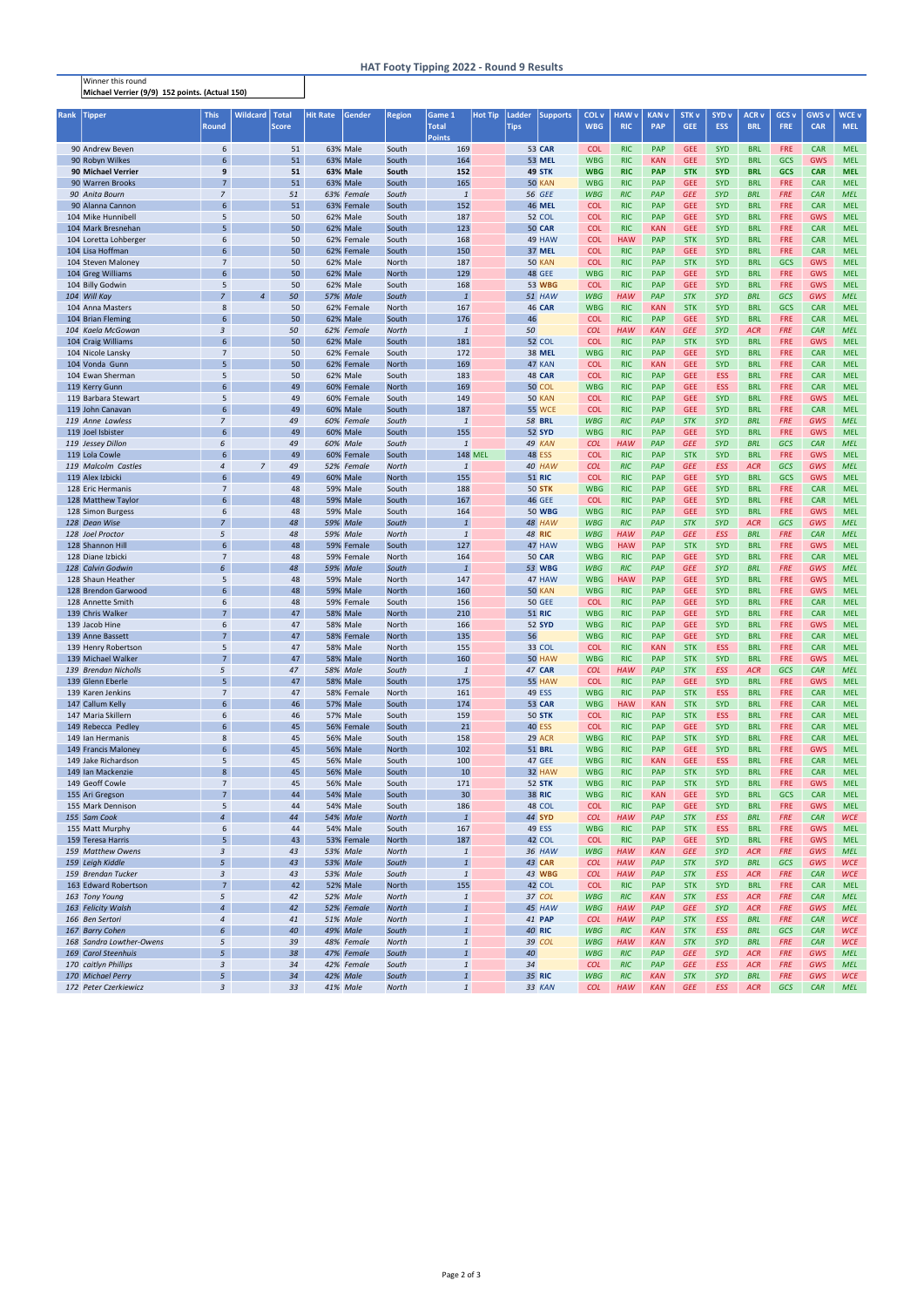Winner this round Michael Verrier (9/9) 152 points. (Actual 150)

## HAT Footy Tipping 2022 - Round 9 Results

| <b>Rank</b> | Tipper                   | <b>This</b>     | <b>Wildcard</b> | Total        | Hit Rate        | Gender          | Region       | Game 1         | <b>Hot Tip</b> | Ladder      | <b>Supports</b> | COL v      | HAW v      | <b>KAN v</b> | STK <sub>v</sub> | SYD <sub>v</sub> | ACR v      | GCS <sub>v</sub> | <b>GWS v</b> | <b>WCE v</b> |
|-------------|--------------------------|-----------------|-----------------|--------------|-----------------|-----------------|--------------|----------------|----------------|-------------|-----------------|------------|------------|--------------|------------------|------------------|------------|------------------|--------------|--------------|
|             |                          | <b>Round</b>    |                 | <b>Score</b> |                 |                 |              | <b>Total</b>   |                | <b>Tips</b> |                 | <b>WBG</b> | <b>RIC</b> | <b>PAP</b>   | <b>GEE</b>       | <b>ESS</b>       | <b>BRL</b> | <b>FRE</b>       | <b>CAR</b>   | <b>MEL</b>   |
|             |                          |                 |                 |              |                 |                 |              | <b>Points</b>  |                |             |                 |            |            |              |                  |                  |            |                  |              |              |
|             | 90 Andrew Beven          | 6               |                 | 51           |                 | 63% Male        | South        | 169            |                |             | <b>53 CAR</b>   | <b>COL</b> | <b>RIC</b> | <b>PAP</b>   | <b>GEE</b>       | <b>SYD</b>       | <b>BRL</b> | <b>FRE</b>       | <b>CAR</b>   | <b>MEL</b>   |
|             | 90 Robyn Wilkes          | 6               |                 | 51           |                 | <b>63% Male</b> | South        | 164            |                |             | <b>53 MEL</b>   | <b>WBG</b> | <b>RIC</b> | <b>KAN</b>   | <b>GEE</b>       | <b>SYD</b>       | <b>BRL</b> | <b>GCS</b>       | <b>GWS</b>   | <b>MEL</b>   |
|             | 90 Michael Verrier       | 9               |                 | 51           |                 | 63% Male        | South        | 152            |                |             | 49 STK          | <b>WBG</b> | <b>RIC</b> | <b>PAP</b>   | <b>STK</b>       | <b>SYD</b>       | <b>BRL</b> | <b>GCS</b>       | <b>CAR</b>   | <b>MEL</b>   |
|             | 90 Warren Brooks         | $\overline{7}$  |                 | 51           |                 | 63% Male        | South        | 165            |                |             | <b>50 KAN</b>   | <b>WBG</b> | <b>RIC</b> | <b>PAP</b>   | <b>GEE</b>       | <b>SYD</b>       | <b>BRL</b> | <b>FRE</b>       | <b>CAR</b>   | <b>MEL</b>   |
|             | 90 Anita Bourn           | $\overline{z}$  |                 | 51           |                 | 63% Female      | South        | $\mathbf{1}$   |                |             | <b>56 GEE</b>   | <b>WBG</b> | <b>RIC</b> | PAP          | <b>GEE</b>       | <b>SYD</b>       | <b>BRL</b> | <b>FRE</b>       | CAR          | <b>MEL</b>   |
|             | 90 Alanna Cannon         | 6               |                 | 51           |                 | 63% Female      | South        | 152            |                |             | <b>46 MEL</b>   | <b>COL</b> | <b>RIC</b> | <b>PAP</b>   | <b>GEE</b>       | <b>SYD</b>       | <b>BRL</b> | <b>FRE</b>       | <b>CAR</b>   | <b>MEL</b>   |
|             | 104 Mike Hunnibell       | 5               |                 | 50           |                 | 62% Male        | South        | 187            |                |             | <b>52 COL</b>   | <b>COL</b> | <b>RIC</b> | <b>PAP</b>   | <b>GEE</b>       | <b>SYD</b>       | <b>BRL</b> | <b>FRE</b>       | <b>GWS</b>   | <b>MEL</b>   |
|             | 104 Mark Bresnehan       | 5               |                 | 50           |                 | 62% Male        | South        | 123            |                |             | <b>50 CAR</b>   | <b>COL</b> | <b>RIC</b> | <b>KAN</b>   | <b>GEE</b>       | <b>SYD</b>       | <b>BRL</b> | <b>FRE</b>       | <b>CAR</b>   | <b>MEL</b>   |
|             | 104 Loretta Lohberger    | 6               |                 | 50           |                 | 62% Female      | South        | 168            |                |             | 49 HAW          | <b>COL</b> | <b>HAW</b> | <b>PAP</b>   | <b>STK</b>       | <b>SYD</b>       | <b>BRL</b> | <b>FRE</b>       | <b>CAR</b>   | <b>MEL</b>   |
|             | 104 Lisa Hoffman         | 6               |                 | 50           |                 | 62% Female      | South        | 150            |                |             | <b>37 MEL</b>   | <b>COL</b> | <b>RIC</b> | <b>PAP</b>   | <b>GEE</b>       | <b>SYD</b>       | <b>BRL</b> | <b>FRE</b>       | <b>CAR</b>   | <b>MEL</b>   |
|             | 104 Steven Maloney       | $\overline{7}$  |                 | 50           |                 | 62% Male        | North        | 187            |                |             | <b>50 KAN</b>   | <b>COL</b> | <b>RIC</b> | <b>PAP</b>   | <b>STK</b>       | <b>SYD</b>       | <b>BRL</b> | <b>GCS</b>       | <b>GWS</b>   | <b>MEL</b>   |
|             | 104 Greg Williams        | 6               |                 | 50           |                 | 62% Male        | <b>North</b> | 129            |                |             | <b>48 GEE</b>   | <b>WBG</b> | <b>RIC</b> | <b>PAP</b>   | <b>GEE</b>       | <b>SYD</b>       | <b>BRL</b> | <b>FRE</b>       | <b>GWS</b>   | <b>MEL</b>   |
|             | 104 Billy Godwin         | 5               |                 | 50           |                 | 62% Male        | South        | 168            |                |             | <b>53 WBG</b>   | <b>COL</b> | <b>RIC</b> | <b>PAP</b>   | <b>GEE</b>       | <b>SYD</b>       | <b>BRL</b> | <b>FRE</b>       | <b>GWS</b>   | <b>MEL</b>   |
|             | 104 Will Kay             | $\overline{z}$  | $\overline{4}$  | 50           | <b>57% Male</b> |                 | South        | $\mathbf{1}$   |                |             | 51 HAW          | <b>WBG</b> | <b>HAW</b> | PAP          | <b>STK</b>       | <b>SYD</b>       | <b>BRL</b> | <b>GCS</b>       | GWS          | <b>MEL</b>   |
|             | 104 Anna Masters         | 8               |                 | 50           |                 | 62% Female      | <b>North</b> | 167            |                |             | <b>46 CAR</b>   | <b>WBG</b> | <b>RIC</b> | <b>KAN</b>   | <b>STK</b>       | <b>SYD</b>       | <b>BRL</b> | <b>GCS</b>       | <b>CAR</b>   | <b>MEL</b>   |
|             | 104 Brian Fleming        | 6               |                 | 50           |                 | 62% Male        | South        | 176            |                | 46          |                 | <b>COL</b> | <b>RIC</b> | <b>PAP</b>   | <b>GEE</b>       | <b>SYD</b>       | <b>BRL</b> | <b>FRE</b>       | <b>CAR</b>   | <b>MEL</b>   |
|             | 104 Kaela McGowan        | 3               |                 | 50           |                 | 62% Female      | North        | $\mathbf{1}$   |                | 50          |                 | <b>COL</b> | <b>HAW</b> | <b>KAN</b>   | <b>GEE</b>       | SYD              | <b>ACR</b> | FRE              | CAR          | <b>MEL</b>   |
|             | 104 Craig Williams       | $6\overline{6}$ |                 | 50           |                 | 62% Male        | South        | 181            |                |             | <b>52 COL</b>   | <b>COL</b> | <b>RIC</b> | <b>PAP</b>   | <b>STK</b>       | <b>SYD</b>       | <b>BRL</b> | <b>FRE</b>       | <b>GWS</b>   | <b>MEL</b>   |
|             | 104 Nicole Lansky        | $\overline{7}$  |                 | 50           |                 | 62% Female      | South        | 172            |                |             | <b>38 MEL</b>   | <b>WBG</b> | <b>RIC</b> | <b>PAP</b>   | <b>GEE</b>       | <b>SYD</b>       | <b>BRL</b> | <b>FRE</b>       | <b>CAR</b>   | <b>MEL</b>   |
|             | 104 Vonda Gunn           | 5               |                 | 50           |                 | 62% Female      | <b>North</b> | 169            |                |             | 47 KAN          | <b>COL</b> | <b>RIC</b> | <b>KAN</b>   | <b>GEE</b>       | <b>SYD</b>       | <b>BRL</b> | <b>FRE</b>       | <b>CAR</b>   | <b>MEL</b>   |
|             | 104 Ewan Sherman         | 5               |                 | 50           |                 | 62% Male        | South        | 183            |                |             | <b>48 CAR</b>   | <b>COL</b> | <b>RIC</b> | <b>PAP</b>   | <b>GEE</b>       | <b>ESS</b>       | <b>BRL</b> | <b>FRE</b>       | <b>CAR</b>   | <b>MEL</b>   |
|             | 119 Kerry Gunn           | 6               |                 | 49           |                 | 60% Female      | <b>North</b> | 169            |                |             | <b>50 COL</b>   | <b>WBG</b> | <b>RIC</b> | <b>PAP</b>   | <b>GEE</b>       | <b>ESS</b>       | <b>BRL</b> | <b>FRE</b>       | <b>CAR</b>   | <b>MEL</b>   |
|             | 119 Barbara Stewart      | 5               |                 | 49           |                 | 60% Female      | South        | 149            |                |             | <b>50 KAN</b>   | <b>COL</b> | <b>RIC</b> | <b>PAP</b>   | <b>GEE</b>       | <b>SYD</b>       | <b>BRL</b> | <b>FRE</b>       | <b>GWS</b>   | <b>MEL</b>   |
|             | 119 John Canavan         | 6               |                 | 49           |                 | <b>60% Male</b> | South        | 187            |                |             | <b>55 WCE</b>   | <b>COL</b> | <b>RIC</b> | <b>PAP</b>   | <b>GEE</b>       | <b>SYD</b>       | <b>BRL</b> | <b>FRE</b>       | <b>CAR</b>   | <b>MEL</b>   |
|             | 119 Anne Lawless         | 7               |                 | 49           |                 | 60% Female      | South        | $\mathbf{1}$   |                |             | <b>58 BRL</b>   | <b>WBG</b> | <b>RIC</b> | PAP          | <b>STK</b>       | <b>SYD</b>       | <b>BRL</b> | <b>FRE</b>       | GWS          | <b>MEL</b>   |
|             | 119 Joel Isbister        | 6               |                 | 49           |                 | 60% Male        | South        | 155            |                |             | <b>52 SYD</b>   | <b>WBG</b> | <b>RIC</b> | <b>PAP</b>   | <b>GEE</b>       | <b>SYD</b>       | <b>BRL</b> | <b>FRE</b>       | <b>GWS</b>   | <b>MEL</b>   |
|             | 119 Jessey Dillon        | 6               |                 | 49           | 60% Male        |                 | South        | $\mathbf{1}$   |                |             | 49 KAN          | <b>COL</b> | <b>HAW</b> | PAP          | <b>GEE</b>       | <b>SYD</b>       | <b>BRL</b> | <b>GCS</b>       | CAR          | <b>MEL</b>   |
|             | 119 Lola Cowle           | 6               |                 | 49           |                 | 60% Female      | South        |                | <b>148 MEL</b> |             | <b>48 ESS</b>   | <b>COL</b> | <b>RIC</b> | <b>PAP</b>   | <b>STK</b>       | <b>SYD</b>       | <b>BRL</b> | <b>FRE</b>       | <b>GWS</b>   | <b>MEL</b>   |
|             | 119 Malcolm Castles      | 4               | 7               | 49           |                 | 52% Female      | <b>North</b> | $\mathbf{1}$   |                |             | 40 HAW          | <b>COL</b> | <b>RIC</b> | PAP          | <b>GEE</b>       | <b>ESS</b>       | <b>ACR</b> | <b>GCS</b>       | GWS          | <b>MEL</b>   |
|             | 119 Alex Izbicki         | 6               |                 | 49           |                 | <b>60% Male</b> | <b>North</b> | 155            |                |             | <b>51 RIC</b>   | <b>COL</b> | <b>RIC</b> | <b>PAP</b>   | <b>GEE</b>       | <b>SYD</b>       | <b>BRL</b> | <b>GCS</b>       | <b>GWS</b>   | <b>MEL</b>   |
|             | 128 Eric Hermanis        | 7               |                 | 48           |                 | <b>59% Male</b> | South        | 188            |                |             | <b>50 STK</b>   | <b>WBG</b> | <b>RIC</b> | <b>PAP</b>   | <b>GEE</b>       | <b>SYD</b>       | <b>BRL</b> | <b>FRE</b>       | <b>CAR</b>   | <b>MEL</b>   |
|             | 128 Matthew Taylor       | 6               |                 | 48           |                 | <b>59% Male</b> | South        | 167            |                |             | <b>46 GEE</b>   | <b>COL</b> | <b>RIC</b> | <b>PAP</b>   | <b>GEE</b>       | <b>SYD</b>       | <b>BRL</b> | <b>FRE</b>       | <b>CAR</b>   | <b>MEL</b>   |
|             | 128 Simon Burgess        | 6               |                 | 48           |                 | <b>59% Male</b> | South        | 164            |                |             | <b>50 WBG</b>   | <b>WBG</b> | <b>RIC</b> | <b>PAP</b>   | <b>GEE</b>       | <b>SYD</b>       | <b>BRL</b> | <b>FRE</b>       | <b>GWS</b>   | <b>MEL</b>   |
|             | 128 Dean Wise            | $\overline{7}$  |                 | 48           | <b>59% Male</b> |                 | South        | $\overline{1}$ |                |             | 48 HAW          | <b>WBG</b> | <b>RIC</b> | PAP          | <b>STK</b>       | <b>SYD</b>       | <b>ACR</b> | <b>GCS</b>       | GWS          | <b>MEL</b>   |
|             | 128 Joel Proctor         | 5               |                 | 48           | 59% Male        |                 | North        | $\mathbf{1}$   |                |             | <b>48 RIC</b>   | <b>WBG</b> | <b>HAW</b> | PAP          | <b>GEE</b>       | <b>ESS</b>       | <b>BRL</b> | <b>FRE</b>       | CAR          | <b>MEL</b>   |
|             | 128 Shannon Hill         | 6               |                 | 48           |                 | 59% Female      | South        | 127            |                |             | 47 HAW          | <b>WBG</b> | <b>HAW</b> | <b>PAP</b>   | <b>STK</b>       | <b>SYD</b>       | <b>BRL</b> | <b>FRE</b>       | <b>GWS</b>   | <b>MEL</b>   |
|             | 128 Diane Izbicki        | $\overline{7}$  |                 | 48           |                 | 59% Female      | North        | 164            |                |             | <b>50 CAR</b>   | <b>WBG</b> | <b>RIC</b> | <b>PAP</b>   | <b>GEE</b>       | <b>SYD</b>       | <b>BRL</b> | <b>FRE</b>       | <b>CAR</b>   | <b>MEL</b>   |
|             | 128 Calvin Godwin        | 6               |                 | 48           | <b>59% Male</b> |                 | South        | $\mathbf{1}$   |                |             | <b>53 WBG</b>   | <b>WBG</b> | <b>RIC</b> | PAP          | <b>GEE</b>       | <b>SYD</b>       | <b>BRL</b> | <b>FRE</b>       | GWS          | <b>MEL</b>   |
|             | 128 Shaun Heather        | 5               |                 | 48           |                 | <b>59% Male</b> | North        | 147            |                |             | 47 HAW          | <b>WBG</b> | <b>HAW</b> | <b>PAP</b>   | <b>GEE</b>       | <b>SYD</b>       | <b>BRL</b> | <b>FRE</b>       | <b>GWS</b>   | <b>MEL</b>   |
|             | 128 Brendon Garwood      | 6               |                 | 48           |                 | <b>59% Male</b> | <b>North</b> | 160            |                |             | <b>50 KAN</b>   | <b>WBG</b> | <b>RIC</b> | <b>PAP</b>   | <b>GEE</b>       | <b>SYD</b>       | <b>BRL</b> | <b>FRE</b>       | <b>GWS</b>   | <b>MEL</b>   |
|             | 128 Annette Smith        | 6               |                 | 48           |                 | 59% Female      | South        | 156            |                |             | <b>50 GEE</b>   | <b>COL</b> | <b>RIC</b> | <b>PAP</b>   | <b>GEE</b>       | <b>SYD</b>       | <b>BRL</b> | <b>FRE</b>       | <b>CAR</b>   | <b>MEL</b>   |
|             | 139 Chris Walker         | 7               |                 | 47           |                 | <b>58% Male</b> | <b>North</b> | 210            |                |             | <b>51 RIC</b>   | <b>WBG</b> | <b>RIC</b> | <b>PAP</b>   | <b>GEE</b>       | <b>SYD</b>       | <b>BRL</b> | <b>FRE</b>       | <b>CAR</b>   | <b>MEL</b>   |
|             | 139 Jacob Hine           | 6               |                 | 47           |                 | <b>58% Male</b> | North        | 166            |                |             | <b>52 SYD</b>   | <b>WBG</b> | <b>RIC</b> | <b>PAP</b>   | <b>GEE</b>       | <b>SYD</b>       | <b>BRL</b> | <b>FRE</b>       | <b>GWS</b>   | <b>MEL</b>   |
|             | 139 Anne Bassett         | $\overline{7}$  |                 | 47           |                 | 58% Female      | North        | 135            |                | 56          |                 | <b>WBG</b> | <b>RIC</b> | <b>PAP</b>   | <b>GEE</b>       | <b>SYD</b>       | <b>BRL</b> | <b>FRE</b>       | <b>CAR</b>   | <b>MEL</b>   |
|             | 139 Henry Robertson      | 5               |                 | 47           |                 | <b>58% Male</b> | North        | 155            |                |             | 33 COL          | <b>COL</b> | <b>RIC</b> | <b>KAN</b>   | <b>STK</b>       | <b>ESS</b>       | <b>BRL</b> | <b>FRE</b>       | <b>CAR</b>   | <b>MEL</b>   |
|             | 139 Michael Walker       | $\overline{7}$  |                 | 47           |                 | <b>58% Male</b> | <b>North</b> | 160            |                |             | <b>50 HAW</b>   | <b>WBG</b> | <b>RIC</b> | <b>PAP</b>   | <b>STK</b>       | <b>SYD</b>       | <b>BRL</b> | <b>FRE</b>       | <b>GWS</b>   | <b>MEL</b>   |
|             | 139 Brendan Nicholls     | 5               |                 | 47           | <b>58% Male</b> |                 | South        | $\mathbf{1}$   |                |             | <b>47 CAR</b>   | <b>COL</b> | <b>HAW</b> | PAP          | <b>STK</b>       | <b>ESS</b>       | <b>ACR</b> | <b>GCS</b>       | CAR          | <b>MEL</b>   |
|             | 139 Glenn Eberle         | 5               |                 | 47           |                 | <b>58% Male</b> | South        | 175            |                |             | <b>55 HAW</b>   | <b>COL</b> | <b>RIC</b> | <b>PAP</b>   | <b>GEE</b>       | <b>SYD</b>       | <b>BRL</b> | <b>FRE</b>       | <b>GWS</b>   | <b>MEL</b>   |
|             | 139 Karen Jenkins        | $\overline{7}$  |                 | 47           |                 | 58% Female      | North        | 161            |                |             | 49 ESS          | <b>WBG</b> | <b>RIC</b> | <b>PAP</b>   | <b>STK</b>       | <b>ESS</b>       | <b>BRL</b> | <b>FRE</b>       | <b>CAR</b>   | <b>MEL</b>   |
|             | 147 Callum Kelly         | 6               |                 | 46           |                 | <b>57% Male</b> | South        | 174            |                |             | <b>53 CAR</b>   | <b>WBG</b> | <b>HAW</b> | <b>KAN</b>   | <b>STK</b>       | <b>SYD</b>       | <b>BRL</b> | <b>FRE</b>       | <b>CAR</b>   | <b>MEL</b>   |
|             | 147 Maria Skillern       | 6               |                 | 46           |                 | <b>57% Male</b> | South        | 159            |                |             | <b>50 STK</b>   | <b>COL</b> | <b>RIC</b> | <b>PAP</b>   | <b>STK</b>       | <b>ESS</b>       | <b>BRL</b> | <b>FRE</b>       | <b>CAR</b>   | <b>MEL</b>   |
|             | 149 Rebecca Pedley       | 6               |                 | 45           |                 | 56% Female      | South        | 21             |                |             | <b>40 ESS</b>   | <b>COL</b> | <b>RIC</b> | <b>PAP</b>   | <b>GEE</b>       | <b>SYD</b>       | <b>BRL</b> | <b>FRE</b>       | <b>CAR</b>   | <b>MEL</b>   |
|             | 149 Ian Hermanis         | 8               |                 | 45           |                 | <b>56% Male</b> | South        | 158            |                |             | 29 ACR          | <b>WBG</b> | <b>RIC</b> | <b>PAP</b>   | <b>STK</b>       | <b>SYD</b>       | <b>BRL</b> | <b>FRE</b>       | <b>CAR</b>   | <b>MEL</b>   |
|             | 149 Francis Maloney      | 6               |                 | 45           |                 | <b>56% Male</b> | <b>North</b> | 102            |                |             | <b>51 BRL</b>   | <b>WBG</b> | <b>RIC</b> | <b>PAP</b>   | <b>GEE</b>       | <b>SYD</b>       | <b>BRL</b> | <b>FRE</b>       | <b>GWS</b>   | <b>MEL</b>   |
|             | 149 Jake Richardson      | 5               |                 | 45           |                 | <b>56% Male</b> | South        | 100            |                |             | <b>47 GEE</b>   | <b>WBG</b> | <b>RIC</b> | <b>KAN</b>   | <b>GEE</b>       | <b>ESS</b>       | <b>BRL</b> | <b>FRE</b>       | <b>CAR</b>   | <b>MEL</b>   |
|             | 149 Ian Mackenzie        | 8               |                 | 45           |                 | <b>56% Male</b> | South        | 10             |                |             | 32 HAW          | <b>WBG</b> | <b>RIC</b> | <b>PAP</b>   | <b>STK</b>       | <b>SYD</b>       | <b>BRL</b> | <b>FRE</b>       | <b>CAR</b>   | <b>MEL</b>   |
|             | 149 Geoff Cowle          | $\overline{7}$  |                 | 45           |                 | <b>56% Male</b> | South        | 171            |                |             | <b>52 STK</b>   | <b>WBG</b> | <b>RIC</b> | <b>PAP</b>   | <b>STK</b>       | <b>SYD</b>       | <b>BRL</b> | <b>FRE</b>       | <b>GWS</b>   | <b>MEL</b>   |
|             | 155 Ari Gregson          | $\overline{7}$  |                 | 44           |                 | 54% Male        | South        | 30             |                |             | <b>38 RIC</b>   | <b>WBG</b> | <b>RIC</b> | <b>KAN</b>   | <b>GEE</b>       | <b>SYD</b>       | <b>BRL</b> | <b>GCS</b>       | <b>CAR</b>   | <b>MEL</b>   |
|             | 155 Mark Dennison        | 5               |                 | 44           |                 | 54% Male        | South        | 186            |                |             | 48 COL          | <b>COL</b> | <b>RIC</b> | <b>PAP</b>   | <b>GEE</b>       | <b>SYD</b>       | <b>BRL</b> | <b>FRE</b>       | <b>GWS</b>   | <b>MEL</b>   |
|             | 155 Sam Cook             | $\overline{4}$  |                 | 44           | <b>54% Male</b> |                 | <b>North</b> | $\mathbf{1}$   |                |             | 44 SYD          | <b>COL</b> | <b>HAW</b> | PAP          | <b>STK</b>       | <b>ESS</b>       | <b>BRL</b> | <b>FRE</b>       | CAR          | <b>WCE</b>   |
|             | 155 Matt Murphy          | 6               |                 | 44           |                 | 54% Male        | South        | 167            |                |             | <b>49 ESS</b>   | <b>WBG</b> | <b>RIC</b> | <b>PAP</b>   | <b>STK</b>       | <b>ESS</b>       | <b>BRL</b> | <b>FRE</b>       | <b>GWS</b>   | <b>MEL</b>   |
|             | 159 Teresa Harris        | 5               |                 | 43           |                 | 53% Female      | <b>North</b> | 187            |                |             | 42 COL          | <b>COL</b> | <b>RIC</b> | <b>PAP</b>   | <b>GEE</b>       | <b>SYD</b>       | <b>BRL</b> | <b>FRE</b>       | <b>GWS</b>   | <b>MEL</b>   |
|             | 159 Matthew Owens        | 3               |                 | 43           | 53% Male        |                 | <b>North</b> | $\mathbf{1}$   |                |             | 36 HAW          | <b>WBG</b> | <b>HAW</b> | <b>KAN</b>   | <b>GEE</b>       | <b>SYD</b>       | <b>ACR</b> | <b>FRE</b>       | GWS          | <b>MEL</b>   |
|             | 159 Leigh Kiddle         | 5               |                 | 43           | 53% Male        |                 | South        | $\mathbf{1}$   |                |             | <b>43 CAR</b>   | <b>COL</b> | <b>HAW</b> | PAP          | <b>STK</b>       | <b>SYD</b>       | <b>BRL</b> | <b>GCS</b>       | GWS          | <b>WCE</b>   |
|             | 159 Brendan Tucker       | 3               |                 | 43           | 53% Male        |                 | South        | $\mathbf{1}$   |                |             | 43 WBG          | <b>COL</b> | <b>HAW</b> | PAP          | <b>STK</b>       | <b>ESS</b>       | <b>ACR</b> | <b>FRE</b>       | CAR          | <b>WCE</b>   |
|             | 163 Edward Robertson     | $\overline{7}$  |                 | 42           |                 | <b>52% Male</b> | <b>North</b> | 155            |                |             | 42 COL          | <b>COL</b> | <b>RIC</b> | <b>PAP</b>   | <b>STK</b>       | <b>SYD</b>       | <b>BRL</b> | <b>FRE</b>       | <b>CAR</b>   | <b>MEL</b>   |
|             | 163 Tony Young           | 5               |                 | 42           | 52% Male        |                 | North        | $\mathbf{1}$   |                |             | 37 COL          | <b>WBG</b> | <b>RIC</b> | <b>KAN</b>   | <b>STK</b>       | <b>ESS</b>       | <b>ACR</b> | <b>FRE</b>       | CAR          | <b>MEL</b>   |
|             | 163 Felicity Walsh       | $\overline{4}$  |                 | 42           |                 | 52% Female      | <b>North</b> | $\overline{1}$ |                |             | 45 HAW          | <b>WBG</b> | <b>HAW</b> | PAP          | <b>GEE</b>       | <b>SYD</b>       | <b>ACR</b> | <b>FRE</b>       | GWS          | <b>MEL</b>   |
|             | 166 Ben Sertori          | 4               |                 | 41           | 51% Male        |                 | <b>North</b> | $\mathbf{1}$   |                |             | <b>41 PAP</b>   | <b>COL</b> | <b>HAW</b> | PAP          | <b>STK</b>       | <b>ESS</b>       | <b>BRL</b> | <b>FRE</b>       | CAR          | <b>WCE</b>   |
|             | 167 Barry Cohen          | 6               |                 | 40           | 49% Male        |                 | South        | $\mathbf{1}$   |                |             | <b>40 RIC</b>   | <b>WBG</b> | <b>RIC</b> | <b>KAN</b>   | <b>STK</b>       | <b>ESS</b>       | <b>BRL</b> | <b>GCS</b>       | CAR          | <b>WCE</b>   |
|             | 168 Sandra Lowther-Owens | 5               |                 | 39           |                 | 48% Female      | <b>North</b> | $\mathbf{1}$   |                |             | 39 COL          | <b>WBG</b> | <b>HAW</b> | <b>KAN</b>   | <b>STK</b>       | <b>SYD</b>       | <b>BRL</b> | <b>FRE</b>       | CAR          | <b>WCE</b>   |
|             | 169 Carol Steenhuis      | 5               |                 | 38           |                 | 47% Female      | South        | $\overline{1}$ |                | 40          |                 | <b>WBG</b> | <b>RIC</b> | PAP          | <b>GEE</b>       | <b>SYD</b>       | <b>ACR</b> | <b>FRE</b>       | GWS          | <b>MEL</b>   |
|             | 170 caitlyn Phillips     | 3               |                 | 34           |                 | 42% Female      | South        | $\mathbf{1}$   |                | 34          |                 | <b>COL</b> | <b>RIC</b> | PAP          | <b>GEE</b>       | <b>ESS</b>       | <b>ACR</b> | <b>FRE</b>       | GWS          | <b>MEL</b>   |
|             | 170 Michael Perry        | 5               |                 | 34           | 42% Male        |                 | South        | $\mathbf{1}$   |                |             | 35 RIC          | <b>WBG</b> | <b>RIC</b> | <b>KAN</b>   | <b>STK</b>       | <b>SYD</b>       | <b>BRL</b> | <b>FRE</b>       | GWS          | <b>WCE</b>   |
|             | 172 Peter Czerkiewicz    | 3               |                 | 33           | 41% Male        |                 | <b>North</b> | $\mathbf{1}$   |                |             | 33 KAN          | <b>COL</b> | <b>HAW</b> | <b>KAN</b>   | <b>GEE</b>       | <b>ESS</b>       | <b>ACR</b> | <b>GCS</b>       | CAR          | <b>MEL</b>   |
|             |                          |                 |                 |              |                 |                 |              |                |                |             |                 |            |            |              |                  |                  |            |                  |              |              |